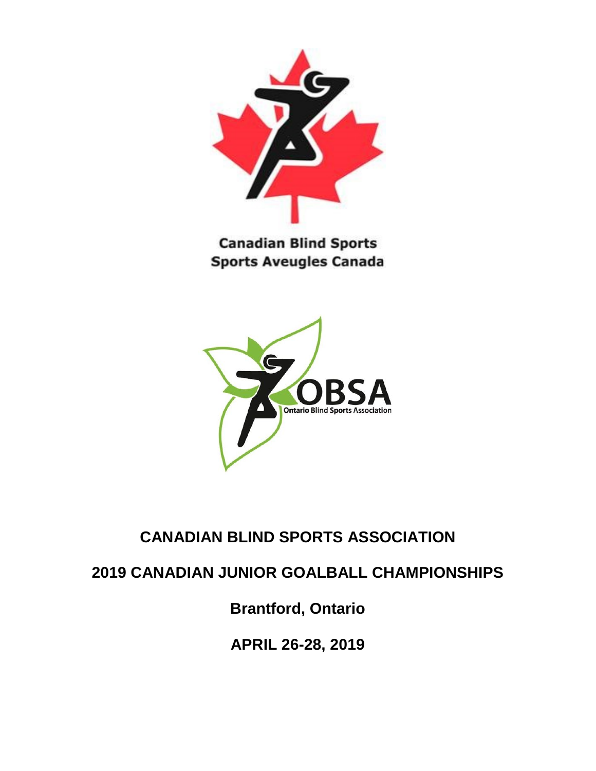

**Canadian Blind Sports Sports Aveugles Canada** 



# **CANADIAN BLIND SPORTS ASSOCIATION**

**2019 CANADIAN JUNIOR GOALBALL CHAMPIONSHIPS**

**Brantford, Ontario**

**APRIL 26-28, 2019**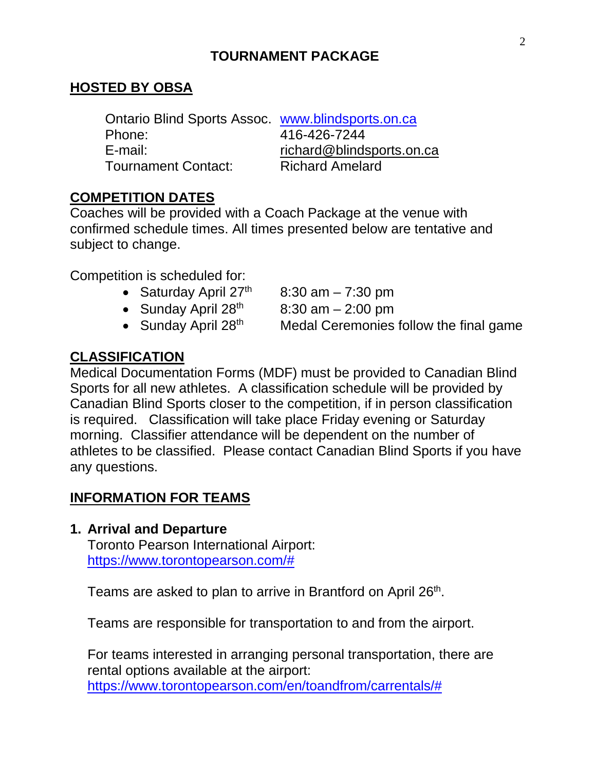### **TOURNAMENT PACKAGE**

#### **HOSTED BY OBSA**

Ontario Blind Sports Assoc. [www.blindsports.on.ca](http://www.blindsports.on.ca/)  Phone: 416-426-7244 E-mail: richard@blindsports.on.ca Tournament Contact: Richard Amelard

#### **COMPETITION DATES**

Coaches will be provided with a Coach Package at the venue with confirmed schedule times. All times presented below are tentative and subject to change.

Competition is scheduled for:

- Saturday April  $27<sup>th</sup>$  8:30 am 7:30 pm
- Sunday April  $28<sup>th</sup>$  8:30 am 2:00 pm
- 

• Sunday April  $28<sup>th</sup>$  Medal Ceremonies follow the final game

#### **CLASSIFICATION**

Medical Documentation Forms (MDF) must be provided to Canadian Blind Sports for all new athletes. A classification schedule will be provided by Canadian Blind Sports closer to the competition, if in person classification is required. Classification will take place Friday evening or Saturday morning. Classifier attendance will be dependent on the number of athletes to be classified. Please contact Canadian Blind Sports if you have any questions.

#### **INFORMATION FOR TEAMS**

**1. Arrival and Departure**

Toronto Pearson International Airport: [https://www.torontopearson.com/#](https://www.torontopearson.com/)

Teams are asked to plan to arrive in Brantford on April 26<sup>th</sup>.

Teams are responsible for transportation to and from the airport.

For teams interested in arranging personal transportation, there are rental options available at the airport: [https://www.torontopearson.com/en/toandfrom/carrentals/#](https://www.torontopearson.com/en/toandfrom/carrentals/)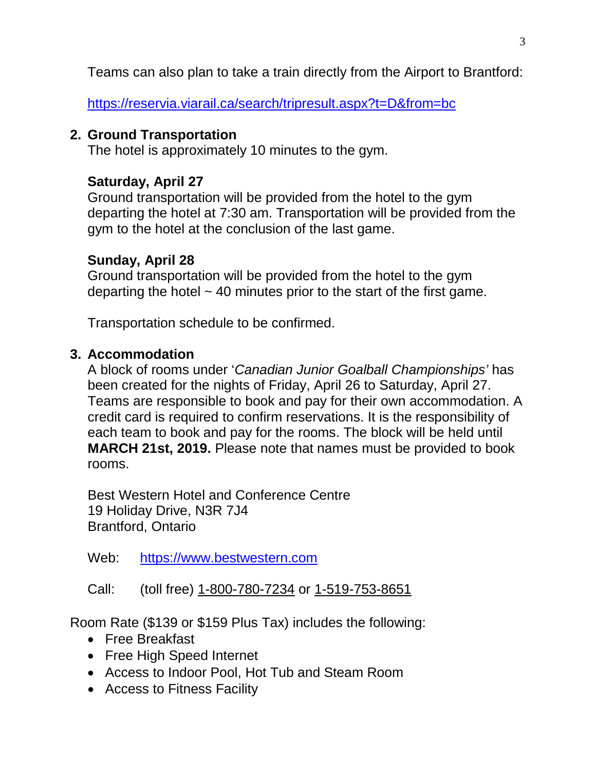Teams can also plan to take a train directly from the Airport to Brantford:

<https://reservia.viarail.ca/search/tripresult.aspx?t=D&from=bc>

### **2. Ground Transportation**

The hotel is approximately 10 minutes to the gym.

# **Saturday, April 27**

Ground transportation will be provided from the hotel to the gym departing the hotel at 7:30 am. Transportation will be provided from the gym to the hotel at the conclusion of the last game.

### **Sunday, April 28**

Ground transportation will be provided from the hotel to the gym departing the hotel  $\sim$  40 minutes prior to the start of the first game.

Transportation schedule to be confirmed.

### **3. Accommodation**

A block of rooms under '*Canadian Junior Goalball Championships'* has been created for the nights of Friday, April 26 to Saturday, April 27. Teams are responsible to book and pay for their own accommodation. A credit card is required to confirm reservations. It is the responsibility of each team to book and pay for the rooms. The block will be held until **MARCH 21st, 2019.** Please note that names must be provided to book rooms.

Best Western Hotel and Conference Centre 19 Holiday Drive, N3R 7J4 Brantford, Ontario

Web: [https://www.bestwestern.com](https://www.bestwestern.com/)

Call: (toll free) [1-800-780-7234](tel:%5C(888)%20810-7288) or 1-519-753-8651

Room Rate (\$139 or \$159 Plus Tax) includes the following:

- Free Breakfast
- Free High Speed Internet
- Access to Indoor Pool, Hot Tub and Steam Room
- Access to Fitness Facility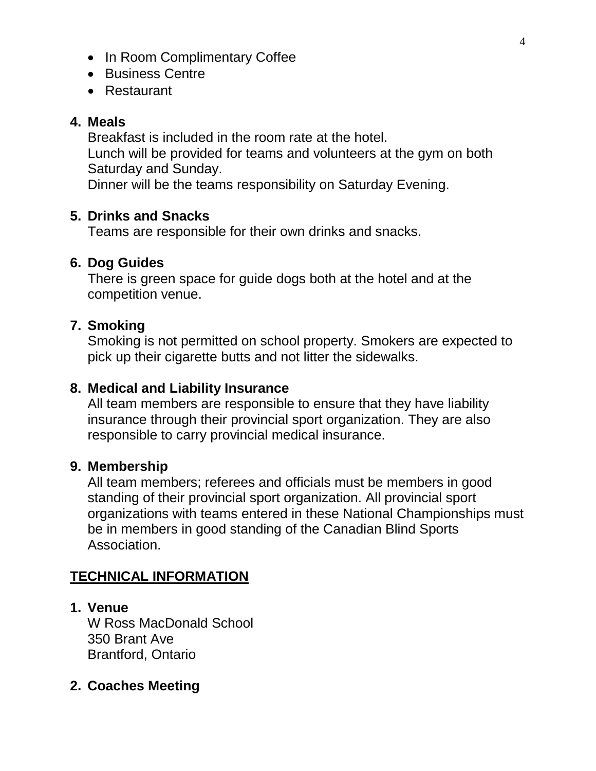- In Room Complimentary Coffee
- Business Centre
- Restaurant

#### **4. Meals**

Breakfast is included in the room rate at the hotel. Lunch will be provided for teams and volunteers at the gym on both Saturday and Sunday.

Dinner will be the teams responsibility on Saturday Evening.

#### **5. Drinks and Snacks**

Teams are responsible for their own drinks and snacks.

#### **6. Dog Guides**

There is green space for guide dogs both at the hotel and at the competition venue.

#### **7. Smoking**

Smoking is not permitted on school property. Smokers are expected to pick up their cigarette butts and not litter the sidewalks.

#### **8. Medical and Liability Insurance**

All team members are responsible to ensure that they have liability insurance through their provincial sport organization. They are also responsible to carry provincial medical insurance.

#### **9. Membership**

All team members; referees and officials must be members in good standing of their provincial sport organization. All provincial sport organizations with teams entered in these National Championships must be in members in good standing of the Canadian Blind Sports Association.

### **TECHNICAL INFORMATION**

- **1. Venue** W Ross MacDonald School 350 Brant Ave Brantford, Ontario
- **2. Coaches Meeting**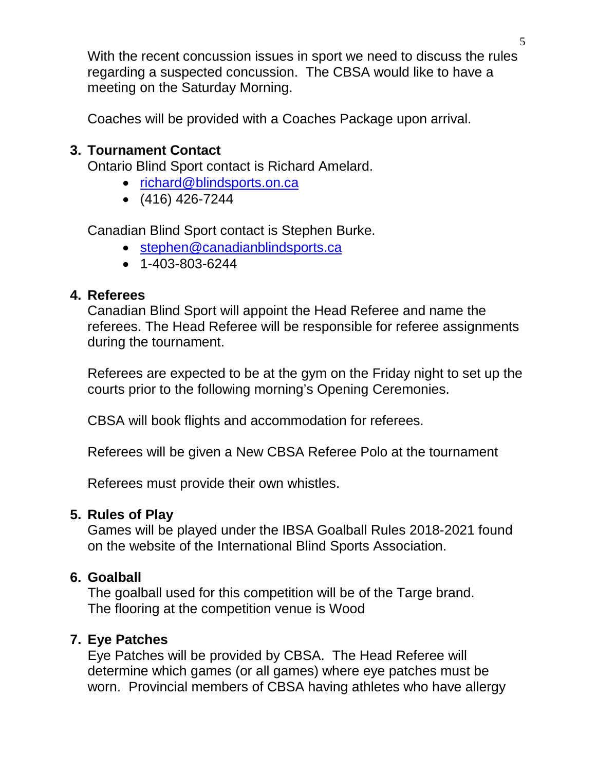With the recent concussion issues in sport we need to discuss the rules regarding a suspected concussion. The CBSA would like to have a meeting on the Saturday Morning.

Coaches will be provided with a Coaches Package upon arrival.

#### **3. Tournament Contact**

Ontario Blind Sport contact is Richard Amelard.

- [richard@blindsports.on.ca](mailto:stephen@canadianblindsports.ca)
- (416) 426-7244

Canadian Blind Sport contact is Stephen Burke.

- [stephen@canadianblindsports.ca](mailto:stephen@canadianblindsports.ca)
- 1-403-803-6244

### **4. Referees**

Canadian Blind Sport will appoint the Head Referee and name the referees. The Head Referee will be responsible for referee assignments during the tournament.

Referees are expected to be at the gym on the Friday night to set up the courts prior to the following morning's Opening Ceremonies.

CBSA will book flights and accommodation for referees.

Referees will be given a New CBSA Referee Polo at the tournament

Referees must provide their own whistles.

### **5. Rules of Play**

Games will be played under the IBSA Goalball Rules 2018-2021 found on the website of the International Blind Sports Association.

### **6. Goalball**

The goalball used for this competition will be of the Targe brand. The flooring at the competition venue is Wood

# **7. Eye Patches**

Eye Patches will be provided by CBSA. The Head Referee will determine which games (or all games) where eye patches must be worn. Provincial members of CBSA having athletes who have allergy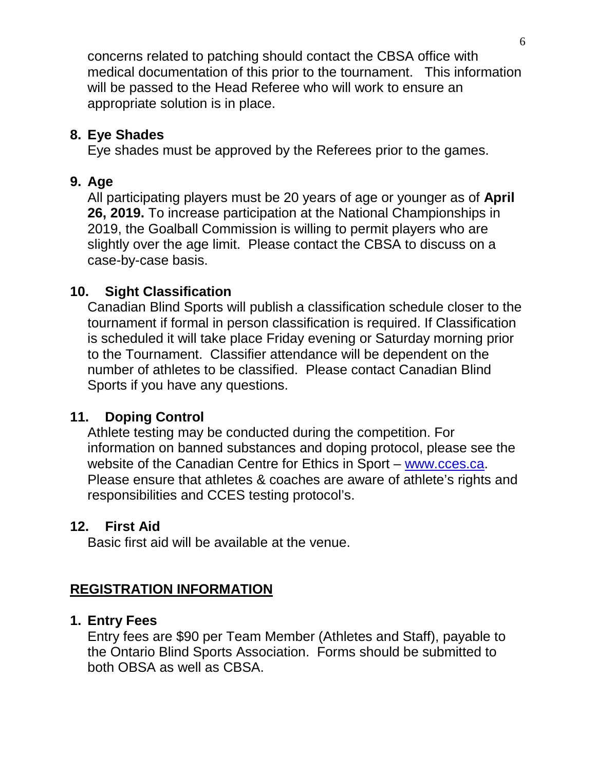concerns related to patching should contact the CBSA office with medical documentation of this prior to the tournament. This information will be passed to the Head Referee who will work to ensure an appropriate solution is in place.

### **8. Eye Shades**

Eye shades must be approved by the Referees prior to the games.

### **9. Age**

All participating players must be 20 years of age or younger as of **April 26, 2019.** To increase participation at the National Championships in 2019, the Goalball Commission is willing to permit players who are slightly over the age limit. Please contact the CBSA to discuss on a case-by-case basis.

### **10. Sight Classification**

Canadian Blind Sports will publish a classification schedule closer to the tournament if formal in person classification is required. If Classification is scheduled it will take place Friday evening or Saturday morning prior to the Tournament. Classifier attendance will be dependent on the number of athletes to be classified. Please contact Canadian Blind Sports if you have any questions.

### **11. Doping Control**

Athlete testing may be conducted during the competition. For information on banned substances and doping protocol, please see the website of the Canadian Centre for Ethics in Sport – [www.cces.ca.](http://www.cces.ca/) Please ensure that athletes & coaches are aware of athlete's rights and responsibilities and CCES testing protocol's.

### **12. First Aid**

Basic first aid will be available at the venue.

# **REGISTRATION INFORMATION**

### **1. Entry Fees**

Entry fees are \$90 per Team Member (Athletes and Staff), payable to the Ontario Blind Sports Association. Forms should be submitted to both OBSA as well as CBSA.